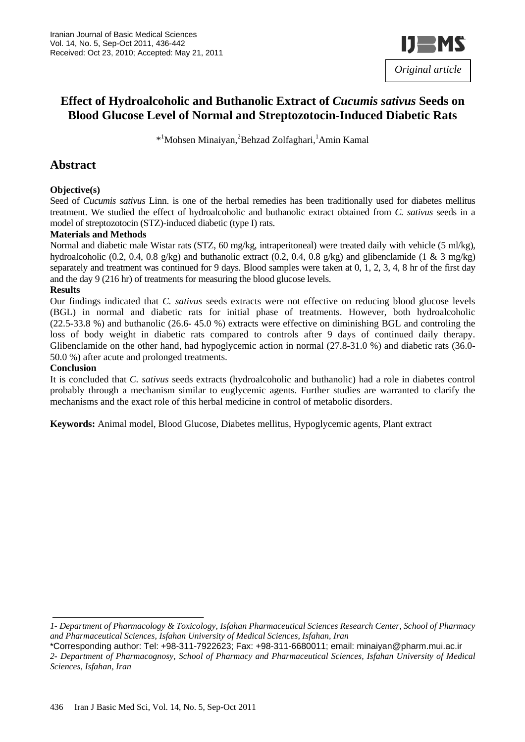

# **Effect of Hydroalcoholic and Buthanolic Extract of** *Cucumis sativus* **Seeds on Blood Glucose Level of Normal and Streptozotocin-Induced Diabetic Rats**

\*<sup>1</sup>Mohsen Minaiyan,<sup>2</sup>Behzad Zolfaghari,<sup>1</sup>Amin Kamal

## **Abstract**

#### **Objective(s)**

Seed of *Cucumis sativus* Linn. is one of the herbal remedies has been traditionally used for diabetes mellitus treatment. We studied the effect of hydroalcoholic and buthanolic extract obtained from *C. sativus* seeds in a model of streptozotocin (STZ)-induced diabetic (type I) rats.

#### **Materials and Methods**

Normal and diabetic male Wistar rats (STZ, 60 mg/kg, intraperitoneal) were treated daily with vehicle (5 ml/kg), hydroalcoholic (0.2, 0.4, 0.8 g/kg) and buthanolic extract (0.2, 0.4, 0.8 g/kg) and glibenclamide (1 & 3 mg/kg) separately and treatment was continued for 9 days. Blood samples were taken at 0, 1, 2, 3, 4, 8 hr of the first day and the day 9 (216 hr) of treatments for measuring the blood glucose levels.

#### **Results**

Our findings indicated that *C. sativus* seeds extracts were not effective on reducing blood glucose levels (BGL) in normal and diabetic rats for initial phase of treatments. However, both hydroalcoholic (22.5-33.8 %) and buthanolic (26.6- 45.0 %) extracts were effective on diminishing BGL and controling the loss of body weight in diabetic rats compared to controls after 9 days of continued daily therapy. Glibenclamide on the other hand, had hypoglycemic action in normal (27.8-31.0 %) and diabetic rats (36.0-50.0 %) after acute and prolonged treatments.

#### **Conclusion**

It is concluded that *C. sativus* seeds extracts (hydroalcoholic and buthanolic) had a role in diabetes control probably through a mechanism similar to euglycemic agents. Further studies are warranted to clarify the mechanisms and the exact role of this herbal medicine in control of metabolic disorders.

**Keywords:** Animal model, Blood Glucose, Diabetes mellitus, Hypoglycemic agents, Plant extract

*<sup>1-</sup> Department of Pharmacology & Toxicology, Isfahan Pharmaceutical Sciences Research Center, School of Pharmacy and Pharmaceutical Sciences, Isfahan University of Medical Sciences, Isfahan, Iran* 

<sup>\*</sup>Corresponding author: Tel: +98-311-7922623; Fax: +98-311-6680011; email: minaiyan@pharm.mui.ac.ir *2- Department of Pharmacognosy, School of Pharmacy and Pharmaceutical Sciences, Isfahan University of Medical Sciences, Isfahan, Iran*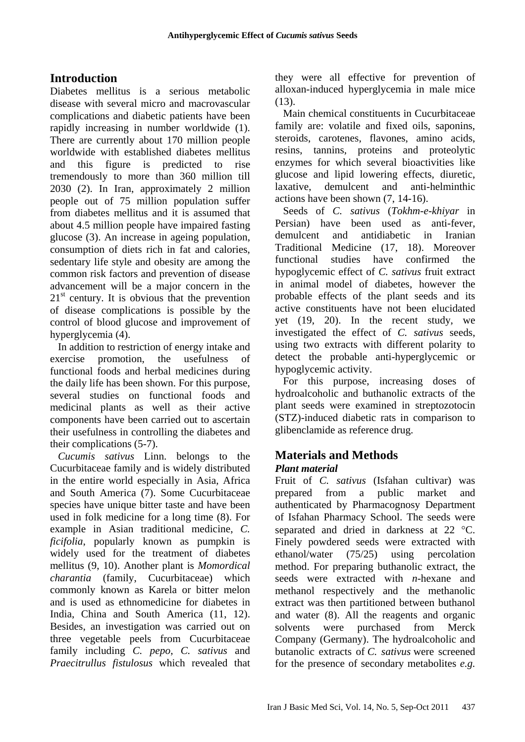# **Introduction**

Diabetes mellitus is a serious metabolic disease with several micro and macrovascular complications and diabetic patients have been rapidly increasing in number worldwide (1). There are currently about 170 million people worldwide with established diabetes mellitus and this figure is predicted to rise tremendously to more than 360 million till 2030 (2). In Iran, approximately 2 million people out of 75 million population suffer from diabetes mellitus and it is assumed that about 4.5 million people have impaired fasting glucose (3). An increase in ageing population, consumption of diets rich in fat and calories, sedentary life style and obesity are among the common risk factors and prevention of disease advancement will be a major concern in the  $21<sup>st</sup>$  century. It is obvious that the prevention of disease complications is possible by the control of blood glucose and improvement of hyperglycemia (4).

In addition to restriction of energy intake and exercise promotion, the usefulness of functional foods and herbal medicines during the daily life has been shown. For this purpose, several studies on functional foods and medicinal plants as well as their active components have been carried out to ascertain their usefulness in controlling the diabetes and their complications (5-7).

*Cucumis sativus* Linn. belongs to the Cucurbitaceae family and is widely distributed in the entire world especially in Asia, Africa and South America (7). Some Cucurbitaceae species have unique bitter taste and have been used in folk medicine for a long time (8). For example in Asian traditional medicine, *C. ficifolia*, popularly known as pumpkin is widely used for the treatment of diabetes mellitus (9, 10). Another plant is *Momordical charantia* (family, Cucurbitaceae) which commonly known as Karela or bitter melon and is used as ethnomedicine for diabetes in India, China and South America (11, 12). Besides, an investigation was carried out on three vegetable peels from Cucurbitaceae family including *C. pepo*, *C. sativus* and *Praecitrullus fistulosus* which revealed that they were all effective for prevention of alloxan-induced hyperglycemia in male mice  $(13)$ .

Main chemical constituents in Cucurbitaceae family are: volatile and fixed oils, saponins, steroids, carotenes, flavones, amino acids, resins, tannins, proteins and proteolytic enzymes for which several bioactivities like glucose and lipid lowering effects, diuretic, laxative, demulcent and anti-helminthic actions have been shown (7, 14-16).

Seeds of *C. sativus* (*Tokhm-e-khiyar* in Persian) have been used as anti-fever, demulcent and antidiabetic in Iranian Traditional Medicine (17, 18). Moreover functional studies have confirmed the hypoglycemic effect of *C. sativus* fruit extract in animal model of diabetes, however the probable effects of the plant seeds and its active constituents have not been elucidated yet (19, 20). In the recent study, we investigated the effect of *C. sativus* seeds, using two extracts with different polarity to detect the probable anti-hyperglycemic or hypoglycemic activity.

For this purpose, increasing doses of hydroalcoholic and buthanolic extracts of the plant seeds were examined in streptozotocin (STZ)-induced diabetic rats in comparison to glibenclamide as reference drug.

#### **Materials and Methods**  *Plant material*

Fruit of *C. sativus* (Isfahan cultivar) was prepared from a public market and authenticated by Pharmacognosy Department of Isfahan Pharmacy School. The seeds were separated and dried in darkness at 22 °C. Finely powdered seeds were extracted with ethanol/water (75/25) using percolation method. For preparing buthanolic extract, the seeds were extracted with *n-*hexane and methanol respectively and the methanolic extract was then partitioned between buthanol and water (8). All the reagents and organic solvents were purchased from Merck Company (Germany). The hydroalcoholic and butanolic extracts of *C. sativus* were screened for the presence of secondary metabolites *e.g.*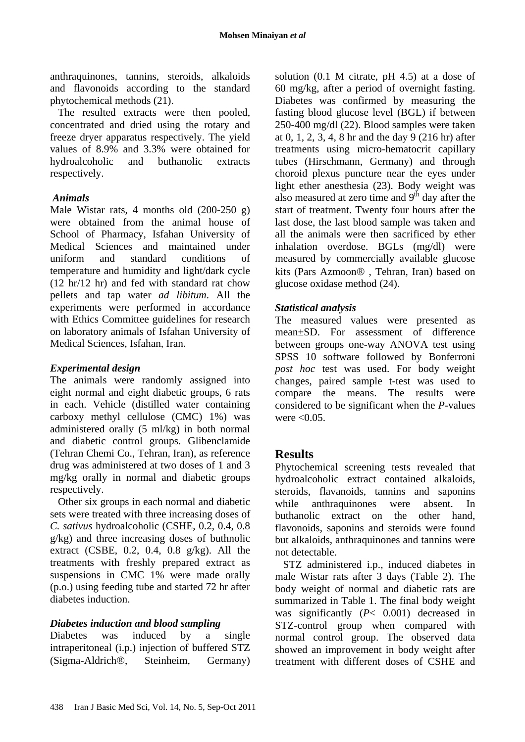anthraquinones, tannins, steroids, alkaloids and flavonoids according to the standard phytochemical methods (21).

The resulted extracts were then pooled, concentrated and dried using the rotary and freeze dryer apparatus respectively. The yield values of 8.9% and 3.3% were obtained for hydroalcoholic and buthanolic extracts respectively.

### *Animals*

Male Wistar rats, 4 months old  $(200-250)$  g) were obtained from the animal house of School of Pharmacy, Isfahan University of Medical Sciences and maintained under uniform and standard conditions of temperature and humidity and light/dark cycle (12 hr/12 hr) and fed with standard rat chow pellets and tap water *ad libitum*. All the experiments were performed in accordance with Ethics Committee guidelines for research on laboratory animals of Isfahan University of Medical Sciences, Isfahan, Iran.

### *Experimental design*

The animals were randomly assigned into eight normal and eight diabetic groups, 6 rats in each. Vehicle (distilled water containing carboxy methyl cellulose (CMC) 1%) was administered orally (5 ml/kg) in both normal and diabetic control groups. Glibenclamide (Tehran Chemi Co., Tehran, Iran), as reference drug was administered at two doses of 1 and 3 mg/kg orally in normal and diabetic groups respectively.

Other six groups in each normal and diabetic sets were treated with three increasing doses of *C. sativus* hydroalcoholic (CSHE, 0.2, 0.4, 0.8 g/kg) and three increasing doses of buthnolic extract (CSBE, 0.2, 0.4, 0.8  $g/kg$ ). All the treatments with freshly prepared extract as suspensions in CMC 1% were made orally (p.o.) using feeding tube and started 72 hr after diabetes induction.

### *Diabetes induction and blood sampling*

Diabetes was induced by a single intraperitoneal (i.p.) injection of buffered STZ (Sigma-Aldrich®, Steinheim, Germany) solution (0.1 M citrate, pH 4.5) at a dose of 60 mg/kg, after a period of overnight fasting. Diabetes was confirmed by measuring the fasting blood glucose level (BGL) if between 250-400 mg/dl (22). Blood samples were taken at 0, 1, 2, 3, 4, 8 hr and the day 9 (216 hr) after treatments using micro-hematocrit capillary tubes (Hirschmann, Germany) and through choroid plexus puncture near the eyes under light ether anesthesia (23). Body weight was also measured at zero time and  $9<sup>th</sup>$  day after the start of treatment. Twenty four hours after the last dose, the last blood sample was taken and all the animals were then sacrificed by ether inhalation overdose. BGLs (mg/dl) were measured by commercially available glucose kits (Pars Azmoon® , Tehran, Iran) based on glucose oxidase method (24).

### *Statistical analysis*

The measured values were presented as mean±SD. For assessment of difference between groups one-way ANOVA test using SPSS 10 software followed by Bonferroni *post hoc* test was used. For body weight changes, paired sample t-test was used to compare the means. The results were considered to be significant when the *P*-values were  $< 0.05$ .

# **Results**

Phytochemical screening tests revealed that hydroalcoholic extract contained alkaloids, steroids, flavanoids, tannins and saponins while anthraquinones were absent. In buthanolic extract on the other hand, flavonoids, saponins and steroids were found but alkaloids, anthraquinones and tannins were not detectable.

STZ administered i.p., induced diabetes in male Wistar rats after 3 days (Table 2). The body weight of normal and diabetic rats are summarized in Table 1. The final body weight was significantly (*P*< 0.001) decreased in STZ-control group when compared with normal control group. The observed data showed an improvement in body weight after treatment with different doses of CSHE and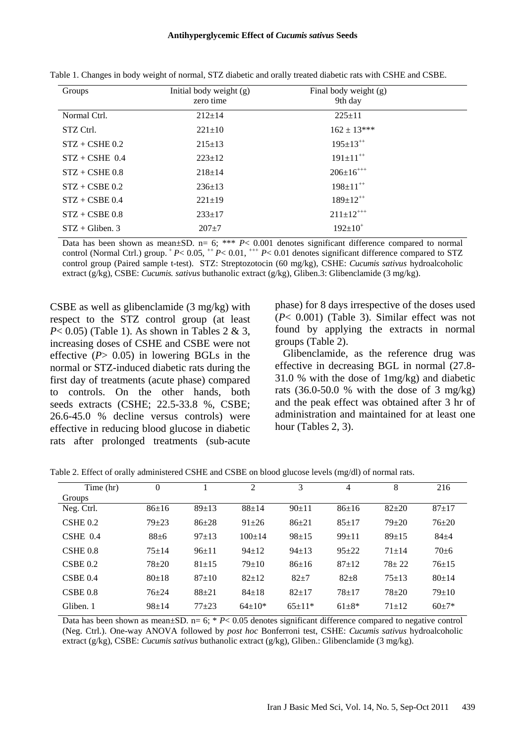| Groups              | Initial body weight (g)<br>zero time | Final body weight (g)<br>9th day |  |
|---------------------|--------------------------------------|----------------------------------|--|
| Normal Ctrl.        | $212 \pm 14$                         | $225 \pm 11$                     |  |
| STZ Ctrl.           | $221 \pm 10$                         | $162 \pm 13***$                  |  |
| $STZ + CSHE 0.2$    | $215 \pm 13$                         | $195 \pm 13^{++}$                |  |
| $STZ + CSHE$ 0.4    | $223+12$                             | $191 \pm 11^{++}$                |  |
| $STZ + CSHE 0.8$    | $218 \pm 14$                         | $206 \pm 16^{+++}$               |  |
| $STZ + CSBE 0.2$    | $236 \pm 13$                         | $198 \pm 11^{++}$                |  |
| $STZ + CSBE 0.4$    | $221 \pm 19$                         | $189 \pm 12^{++}$                |  |
| $STZ + CSBE 0.8$    | $233+17$                             | $211 \pm 12^{+++}$               |  |
| $STZ + Gilbert$ . 3 | $207+7$                              | $192+10^+$                       |  |

Table 1. Changes in body weight of normal, STZ diabetic and orally treated diabetic rats with CSHE and CSBE.

Data has been shown as mean $\pm$ SD. n= 6; \*\*\* *P*< 0.001 denotes significant difference compared to normal control (Normal Ctrl.) group.  $^+P$  < 0.05,  $^+P$  < 0.01,  $^{++}P$  < 0.01 denotes significant difference compared to STZ control group (Paired sample t-test). STZ: Streptozotocin (60 mg/kg), CSHE: *Cucumis sativus* hydroalcoholic extract (g/kg), CSBE: *Cucumis. sativus* buthanolic extract (g/kg), Gliben.3: Glibenclamide (3 mg/kg).

CSBE as well as glibenclamide (3 mg/kg) with respect to the STZ control group (at least *P*< 0.05) (Table 1). As shown in Tables 2 & 3, increasing doses of CSHE and CSBE were not effective (*P*> 0.05) in lowering BGLs in the normal or STZ-induced diabetic rats during the first day of treatments (acute phase) compared to controls. On the other hands, both seeds extracts (CSHE; 22.5-33.8 %, CSBE; 26.6-45.0 % decline versus controls) were effective in reducing blood glucose in diabetic rats after prolonged treatments (sub-acute phase) for 8 days irrespective of the doses used (*P*< 0.001) (Table 3). Similar effect was not found by applying the extracts in normal groups (Table 2).

Glibenclamide, as the reference drug was effective in decreasing BGL in normal (27.8- 31.0 % with the dose of 1mg/kg) and diabetic rats  $(36.0-50.0 %$  with the dose of 3 mg/kg) and the peak effect was obtained after 3 hr of administration and maintained for at least one hour (Tables 2, 3).

| Time (hr)  | $\overline{0}$ |           | $\overline{c}$ | 3         | 4           | 8         | 216       |
|------------|----------------|-----------|----------------|-----------|-------------|-----------|-----------|
| Groups     |                |           |                |           |             |           |           |
| Neg. Ctrl. | $86+16$        | $89+13$   | $88 + 14$      | $90+11$   | $86 \pm 16$ | $82 + 20$ | $87+17$   |
| $CSHE$ 0.2 | $79 + 23$      | $86+28$   | $91 + 26$      | $86+21$   | $85+17$     | $79 + 20$ | $76 + 20$ |
| $CSHE$ 0.4 | $88 + 6$       | $97+13$   | $100+14$       | $98 + 15$ | $99+11$     | $89+15$   | $84 + 4$  |
| $CSHE$ 0.8 | $75 + 14$      | $96+11$   | $94+12$        | $94+13$   | $95 + 22$   | $71 + 14$ | $70 + 6$  |
| CSBE 0.2   | $78 + 20$      | $81 + 15$ | $79+10$        | $86+16$   | $87+12$     | $78 + 22$ | $76+15$   |
| CSBE 0.4   | $80+18$        | $87+10$   | $82+12$        | $82 + 7$  | $82 + 8$    | $75+13$   | $80+14$   |
| CSBE 0.8   | $76 + 24$      | $88 + 21$ | $84+18$        | $82+17$   | $78 + 17$   | $78 + 20$ | $79+10$   |
| Gliben. 1  | $98+14$        | $77 + 23$ | $64+10*$       | $65+11*$  | $61 + 8*$   | $71 + 12$ | $60+7*$   |

Table 2. Effect of orally administered CSHE and CSBE on blood glucose levels (mg/dl) of normal rats.

Data has been shown as mean $\pm$ SD. n= 6; \* *P*< 0.05 denotes significant difference compared to negative control (Neg. Ctrl.). One-way ANOVA followed by *post hoc* Bonferroni test, CSHE: *Cucumis sativus* hydroalcoholic extract (g/kg), CSBE: *Cucumis sativus* buthanolic extract (g/kg), Gliben.: Glibenclamide (3 mg/kg).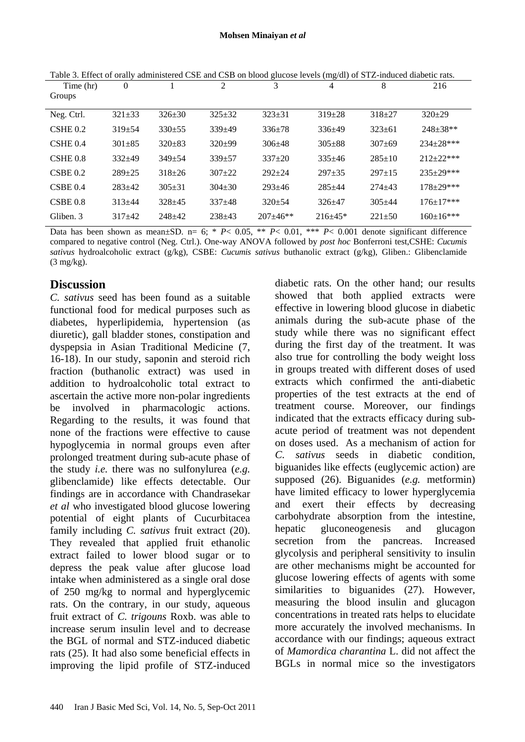|                     |                |              |                |              | ັ          |              |                  |
|---------------------|----------------|--------------|----------------|--------------|------------|--------------|------------------|
| Time (hr)           | $\overline{0}$ |              | $\overline{2}$ | 3            | 4          | 8            | 216              |
| Groups              |                |              |                |              |            |              |                  |
|                     |                |              |                |              |            |              |                  |
| Neg. Ctrl.          | $321 \pm 33$   | $326 \pm 30$ | $325 \pm 32$   | $323 \pm 31$ | $319 + 28$ | $318 + 27$   | $320+29$         |
| $CSHE$ 0.2          | $319 + 54$     | $330+55$     | $339 + 49$     | $336+78$     | $336+49$   | $323+61$     | $248+38**$       |
| CSHE <sub>0.4</sub> | $301 + 85$     | $320+83$     | $320+99$       | $306 + 48$   | $305 + 88$ | $307 + 69$   | 234±28***        |
| $CSHE$ 0.8          | $332+49$       | $349 + 54$   | $339 + 57$     | $337+20$     | $335+46$   | $285+10$     | $212+22***$      |
| CSBE 0.2            | $289 + 25$     | $318 + 26$   | $307+22$       | $292 + 24$   | $297 + 35$ | $297+15$     | 235±29***        |
| CSBE 0.4            | $283+42$       | $305 + 31$   | $304 + 30$     | $293 + 46$   | $285 + 44$ | $274 + 43$   | $178 \pm 29$ *** |
| CSBE 0.8            | $313 + 44$     | $328+45$     | $337+48$       | $320+54$     | $326 + 47$ | $305 + 44$   | $176 \pm 17$ *** |
| Gliben. 3           | $317+42$       | $248+42$     | $238 + 43$     | $207 + 46**$ | $216+45*$  | $221 \pm 50$ | $160 \pm 16$ *** |
|                     |                |              |                |              |            |              |                  |

Table 3. Effect of orally administered CSE and CSB on blood glucose levels (mg/dl) of STZ-induced diabetic rats.

Data has been shown as mean $\pm$ SD. n= 6; \* *P*< 0.05, \*\* *P*< 0.01, \*\*\* *P*< 0.001 denote significant difference compared to negative control (Neg. Ctrl.). One-way ANOVA followed by *post hoc* Bonferroni test,CSHE: *Cucumis sativus* hydroalcoholic extract (g/kg), CSBE: *Cucumis sativus* buthanolic extract (g/kg), Gliben.: Glibenclamide (3 mg/kg).

# **Discussion**

*C. sativus* seed has been found as a suitable functional food for medical purposes such as diabetes, hyperlipidemia, hypertension (as diuretic), gall bladder stones, constipation and dyspepsia in Asian Traditional Medicine (7, 16-18). In our study, saponin and steroid rich fraction (buthanolic extract) was used in addition to hydroalcoholic total extract to ascertain the active more non-polar ingredients be involved in pharmacologic actions. Regarding to the results, it was found that none of the fractions were effective to cause hypoglycemia in normal groups even after prolonged treatment during sub-acute phase of the study *i.e.* there was no sulfonylurea (*e.g.* glibenclamide) like effects detectable. Our findings are in accordance with Chandrasekar *et al* who investigated blood glucose lowering potential of eight plants of Cucurbitacea family including *C. sativus* fruit extract (20). They revealed that applied fruit ethanolic extract failed to lower blood sugar or to depress the peak value after glucose load intake when administered as a single oral dose of 250 mg/kg to normal and hyperglycemic rats. On the contrary, in our study, aqueous fruit extract of *C. trigouns* Roxb. was able to increase serum insulin level and to decrease the BGL of normal and STZ-induced diabetic rats (25). It had also some beneficial effects in improving the lipid profile of STZ-induced diabetic rats. On the other hand; our results showed that both applied extracts were effective in lowering blood glucose in diabetic animals during the sub-acute phase of the study while there was no significant effect during the first day of the treatment. It was also true for controlling the body weight loss in groups treated with different doses of used extracts which confirmed the anti-diabetic properties of the test extracts at the end of treatment course. Moreover, our findings indicated that the extracts efficacy during subacute period of treatment was not dependent on doses used. As a mechanism of action for *C. sativus* seeds in diabetic condition, biguanides like effects (euglycemic action) are supposed (26). Biguanides (*e.g.* metformin) have limited efficacy to lower hyperglycemia and exert their effects by decreasing carbohydrate absorption from the intestine, hepatic gluconeogenesis and glucagon secretion from the pancreas. Increased glycolysis and peripheral sensitivity to insulin are other mechanisms might be accounted for glucose lowering effects of agents with some similarities to biguanides (27). However, measuring the blood insulin and glucagon concentrations in treated rats helps to elucidate more accurately the involved mechanisms. In accordance with our findings; aqueous extract of *Mamordica charantina* L. did not affect the BGLs in normal mice so the investigators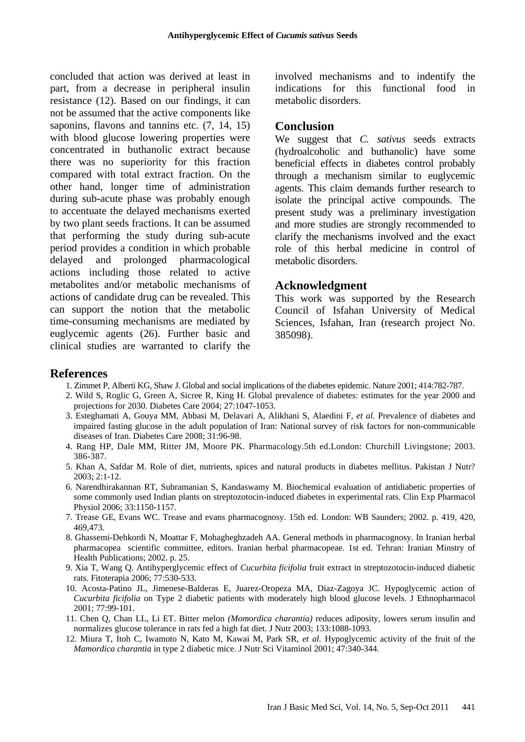concluded that action was derived at least in part, from a decrease in peripheral insulin resistance (12). Based on our findings, it can not be assumed that the active components like saponins, flavons and tannins etc. (7, 14, 15) with blood glucose lowering properties were concentrated in buthanolic extract because there was no superiority for this fraction compared with total extract fraction. On the other hand, longer time of administration during sub-acute phase was probably enough to accentuate the delayed mechanisms exerted by two plant seeds fractions. It can be assumed that performing the study during sub-acute period provides a condition in which probable delayed and prolonged pharmacological actions including those related to active metabolites and/or metabolic mechanisms of actions of candidate drug can be revealed. This can support the notion that the metabolic time-consuming mechanisms are mediated by euglycemic agents (26). Further basic and clinical studies are warranted to clarify the

involved mechanisms and to indentify the indications for this functional food in metabolic disorders.

#### **Conclusion**

We suggest that *C. sativus* seeds extracts (hydroalcoholic and buthanolic) have some beneficial effects in diabetes control probably through a mechanism similar to euglycemic agents. This claim demands further research to isolate the principal active compounds. The present study was a preliminary investigation and more studies are strongly recommended to clarify the mechanisms involved and the exact role of this herbal medicine in control of metabolic disorders.

## **Acknowledgment**

This work was supported by the Research Council of Isfahan University of Medical Sciences, Isfahan, Iran (research project No. 385098).

### **References**

- 1. Zimmet P, Alberti KG, Shaw J. Global and social implications of the diabetes epidemic. Nature 2001; 414:782-787.
- 2. Wild S, Roglic G, Green A, Sicree R, King H. Global prevalence of diabetes: estimates for the year 2000 and projections for 2030. Diabetes Care 2004; 27:1047-1053.
- 3. Esteghamati A, Gouya MM, Abbasi M, Delavari A, Alikhani S, Alaedini F, *et al.* Prevalence of diabetes and impaired fasting glucose in the adult population of Iran: National survey of risk factors for non-communicable diseases of Iran. Diabetes Care 2008; 31:96-98.
- 4. Rang HP, Dale MM, Ritter JM, Moore PK. Pharmacology.5th ed.London: Churchill Livingstone; 2003. 386-387.
- 5. Khan A, Safdar M. Role of diet, nutrients, spices and natural products in diabetes mellitus. Pakistan J Nutr? 2003; 2:1-12.
- 6. Narendhirakannan RT, Subramanian S, Kandaswamy M. Biochemical evaluation of antidiabetic properties of some commonly used Indian plants on streptozotocin-induced diabetes in experimental rats. Clin Exp Pharmacol Physiol 2006; 33:1150-1157.
- 7. Trease GE, Evans WC. Trease and evans pharmacognosy. 15th ed. London: WB Saunders; 2002. p. 419, 420, 469,473.
- 8. Ghassemi-Dehkordi N, Moattar F, Mohagheghzadeh AA. General methods in pharmacognosy. In Iranian herbal pharmacopea scientific committee, editors. Iranian herbal pharmacopeae. 1st ed. Tehran: Iranian Minstry of Health Publications; 2002. p. 25.
- 9. Xia T, Wang Q. Antihyperglycemic effect of *Cucurbita ficifolia* fruit extract in streptozotocin-induced diabetic rats. Fitoterapia 2006; 77:530-533.
- 10. Acosta-Patino JL, Jimenese-Balderas E, Juarez-Oropeza MA, Diaz-Zagoya JC. Hypoglycemic action of *Cucurbita ficifolia* on Type 2 diabetic patients with moderately high blood glucose levels. J Ethnopharmacol 2001; 77:99-101.
- 11. Chen Q, Chan LL, Li ET. Bitter melon *(Momordica charantia)* reduces adiposity, lowers serum insulin and normalizes glucose tolerance in rats fed a high fat diet. J Nutr 2003; 133:1088-1093.
- 12. Miura T, Itoh C, Iwamoto N, Kato M, Kawai M, Park SR, *et al.* Hypoglycemic activity of the fruit of the *Mamordica charantia* in type 2 diabetic mice. J Nutr Sci Vitaminol 2001; 47:340-344.